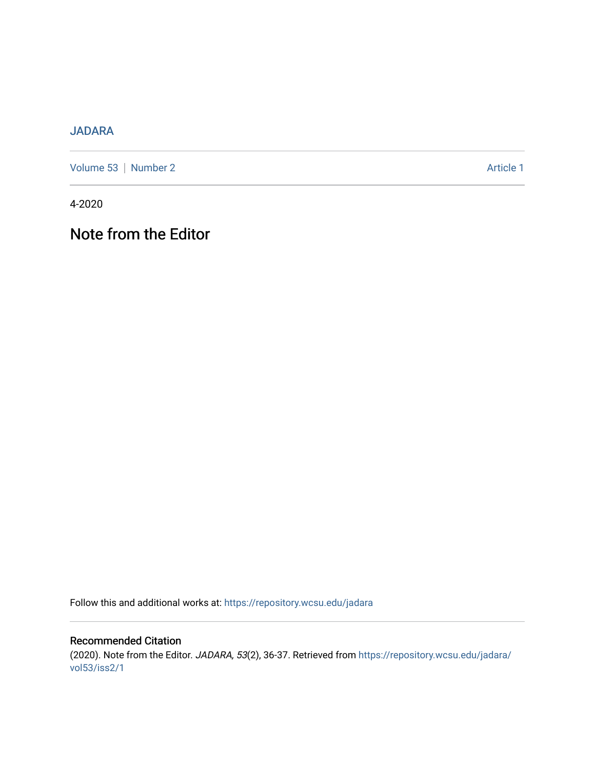## [JADARA](https://repository.wcsu.edu/jadara)

[Volume 53](https://repository.wcsu.edu/jadara/vol53) | [Number 2](https://repository.wcsu.edu/jadara/vol53/iss2) Article 1

4-2020

## Note from the Editor

Follow this and additional works at: [https://repository.wcsu.edu/jadara](https://repository.wcsu.edu/jadara?utm_source=repository.wcsu.edu%2Fjadara%2Fvol53%2Fiss2%2F1&utm_medium=PDF&utm_campaign=PDFCoverPages)

Recommended Citation (2020). Note from the Editor. JADARA, 53(2), 36-37. Retrieved from [https://repository.wcsu.edu/jadara/](https://repository.wcsu.edu/jadara/vol53/iss2/1?utm_source=repository.wcsu.edu%2Fjadara%2Fvol53%2Fiss2%2F1&utm_medium=PDF&utm_campaign=PDFCoverPages) [vol53/iss2/1](https://repository.wcsu.edu/jadara/vol53/iss2/1?utm_source=repository.wcsu.edu%2Fjadara%2Fvol53%2Fiss2%2F1&utm_medium=PDF&utm_campaign=PDFCoverPages)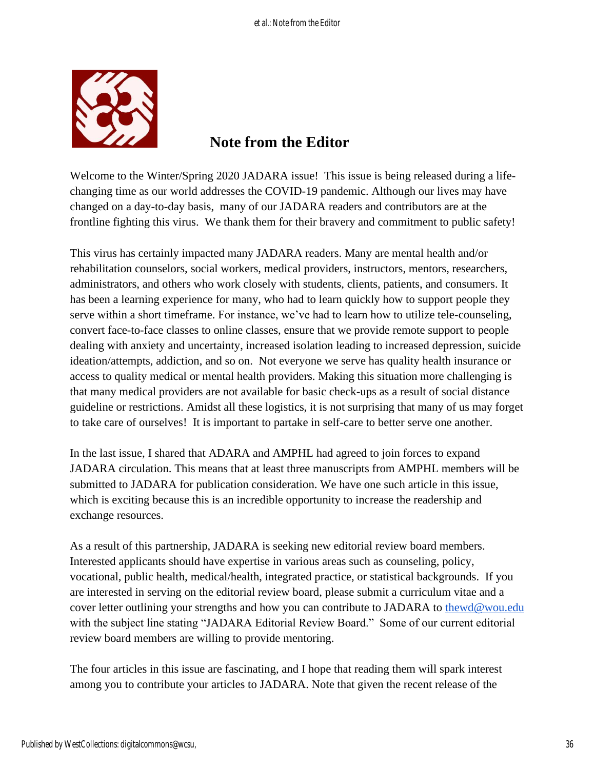

## **Note from the Editor**

Welcome to the Winter/Spring 2020 JADARA issue! This issue is being released during a lifechanging time as our world addresses the COVID-19 pandemic. Although our lives may have changed on a day-to-day basis, many of our JADARA readers and contributors are at the frontline fighting this virus. We thank them for their bravery and commitment to public safety!

This virus has certainly impacted many JADARA readers. Many are mental health and/or rehabilitation counselors, social workers, medical providers, instructors, mentors, researchers, administrators, and others who work closely with students, clients, patients, and consumers. It has been a learning experience for many, who had to learn quickly how to support people they serve within a short timeframe. For instance, we've had to learn how to utilize tele-counseling, convert face-to-face classes to online classes, ensure that we provide remote support to people dealing with anxiety and uncertainty, increased isolation leading to increased depression, suicide ideation/attempts, addiction, and so on. Not everyone we serve has quality health insurance or access to quality medical or mental health providers. Making this situation more challenging is that many medical providers are not available for basic check-ups as a result of social distance guideline or restrictions. Amidst all these logistics, it is not surprising that many of us may forget to take care of ourselves! It is important to partake in self-care to better serve one another.

In the last issue, I shared that ADARA and AMPHL had agreed to join forces to expand JADARA circulation. This means that at least three manuscripts from AMPHL members will be submitted to JADARA for publication consideration. We have one such article in this issue, which is exciting because this is an incredible opportunity to increase the readership and exchange resources.

As a result of this partnership, JADARA is seeking new editorial review board members. Interested applicants should have expertise in various areas such as counseling, policy, vocational, public health, medical/health, integrated practice, or statistical backgrounds. If you are interested in serving on the editorial review board, please submit a curriculum vitae and a cover letter outlining your strengths and how you can contribute to JADARA to [thewd@wou.edu](mailto:thewd@wou.edu) with the subject line stating "JADARA Editorial Review Board." Some of our current editorial review board members are willing to provide mentoring.

The four articles in this issue are fascinating, and I hope that reading them will spark interest among you to contribute your articles to JADARA. Note that given the recent release of the